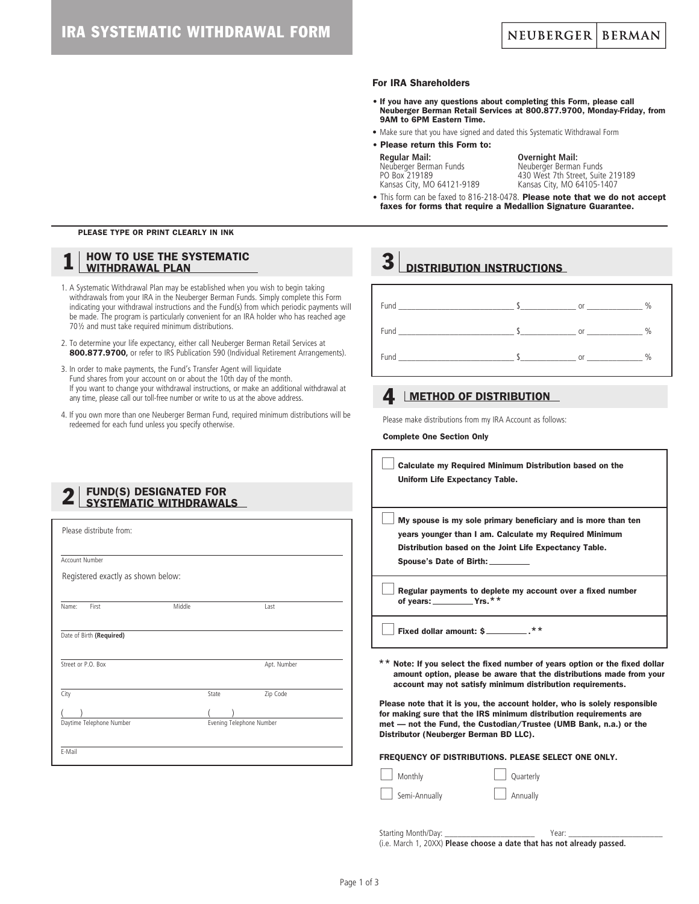#### For IRA Shareholders

- If you have any questions about completing this Form, please call Neuberger Berman Retail Services at 800.877.9700, Monday-Friday, from 9AM to 6PM Eastern Time.
- Make sure that you have signed and dated this Systematic Withdrawal Form
- Please return this Form to:

| <b>Regular Mail:</b>       |
|----------------------------|
| Neuberger Berman Funds     |
| PO Box 219189              |
| Kansas City, MO 64121-9189 |

**Overnight Mail:** Neuberger Berman Funds 430 West 7th Street, Suite 219189 Kansas City, MO 64105-1407

• This form can be faxed to 816-218-0478. Please note that we do not accept faxes for forms that require a Medallion Signature Guarantee.

#### PLEASE TYPE OR PRINT CLEARLY IN INK

#### **HOW TO USE THE SYSTEMATIC** WITHDRAWAL PLAN

- 1. A Systematic Withdrawal Plan may be established when you wish to begin taking withdrawals from your IRA in the Neuberger Berman Funds. Simply complete this Form indicating your withdrawal instructions and the Fund(s) from which periodic payments will be made. The program is particularly convenient for an IRA holder who has reached age 70½ and must take required minimum distributions.
- 2. To determine your life expectancy, either call Neuberger Berman Retail Services at 800.877.9700, or refer to IRS Publication 590 (Individual Retirement Arrangements).
- 3. In order to make payments, the Fund's Transfer Agent will liquidate Fund shares from your account on or about the 10th day of the month. If you want to change your withdrawal instructions, or make an additional withdrawal at any time, please call our toll-free number or write to us at the above address.
- 4. If you own more than one Neuberger Berman Fund, required minimum distributions will be redeemed for each fund unless you specify otherwise.

# 2 | FUND(S) DESIGNATED FOR<br>SYSTEMATIC WITHDRAWALS

| Please distribute from:            |        |                          |             |  |
|------------------------------------|--------|--------------------------|-------------|--|
|                                    |        |                          |             |  |
| Account Number                     |        |                          |             |  |
| Registered exactly as shown below: |        |                          |             |  |
|                                    |        |                          |             |  |
| First<br>Name:                     | Middle |                          | Last        |  |
|                                    |        |                          |             |  |
| Date of Birth (Required)           |        |                          |             |  |
|                                    |        |                          |             |  |
| Street or P.O. Box                 |        |                          | Apt. Number |  |
|                                    |        |                          |             |  |
| City                               |        | State                    | Zip Code    |  |
|                                    |        |                          |             |  |
| Daytime Telephone Number           |        | Evening Telephone Number |             |  |
|                                    |        |                          |             |  |
| E-Mail                             |        |                          |             |  |

| <b>or</b> | $\frac{0}{0}$    |
|-----------|------------------|
|           | $\frac{0}{0}$    |
| or        | $\%$             |
|           | $\frac{1}{2}$ or |

### 4. LMETHOD OF DISTRIBUTION

**3** DISTRIBUTION INSTRUCTIONS

Please make distributions from my IRA Account as follows:

Complete One Section Only

| Calculate my Required Minimum Distribution based on the<br>Uniform Life Expectancy Table.                                                                                                                         |
|-------------------------------------------------------------------------------------------------------------------------------------------------------------------------------------------------------------------|
| My spouse is my sole primary beneficiary and is more than ten<br>years younger than I am. Calculate my Required Minimum<br>Distribution based on the Joint Life Expectancy Table.<br>Spouse's Date of Birth:      |
| Regular payments to deplete my account over a fixed number<br>of years: $\_\_\_\_\_\$ Yrs.**                                                                                                                      |
| Fixed dollar amount: \$                                                                                                                                                                                           |
| ** Note: If you select the fixed number of years option or the fixed dollar<br>amount option, please be aware that the distributions made from your<br>account may not satisfy minimum distribution requirements. |

Please note that it is you, the account holder, who is solely responsible for making sure that the IRS minimum distribution requirements are met — not the Fund, the Custodian/Trustee (UMB Bank, n.a.) or the Distributor (Neuberger Berman BD LLC).

FREQUENCY OF DISTRIBUTIONS. PLEASE SELECT ONE ONLY.

Monthly Duarterly

Semi-Annually **Annually** Annually

Starting Month/Day: \_\_\_\_\_\_\_\_\_\_\_\_\_\_\_\_\_\_\_\_\_ Year: \_\_\_\_\_\_\_\_\_\_\_\_\_\_\_\_\_\_\_\_\_\_ (i.e. March 1, 20XX) **Please choose a date that has not already passed.**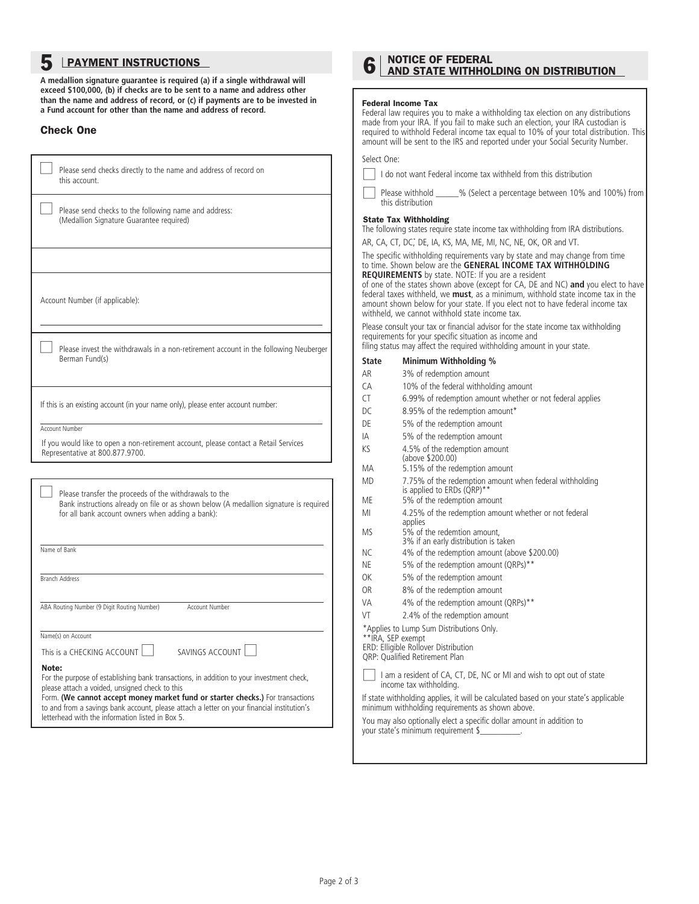## **5** LPAYMENT INSTRUCTIONS

**A medallion signature guarantee is required (a) if a single withdrawal will exceed \$100,000, (b) if checks are to be sent to a name and address other than the name and address of record, or (c) if payments are to be invested in a Fund account for other than the name and address of record.**

#### Check One

| Please send checks directly to the name and address of record on<br>this account.                                                                                                                                                                                                                                                                                                       |
|-----------------------------------------------------------------------------------------------------------------------------------------------------------------------------------------------------------------------------------------------------------------------------------------------------------------------------------------------------------------------------------------|
| Please send checks to the following name and address:<br>(Medallion Signature Guarantee required)                                                                                                                                                                                                                                                                                       |
|                                                                                                                                                                                                                                                                                                                                                                                         |
| Account Number (if applicable):                                                                                                                                                                                                                                                                                                                                                         |
| Please invest the withdrawals in a non-retirement account in the following Neuberger<br>Berman Fund(s)                                                                                                                                                                                                                                                                                  |
| If this is an existing account (in your name only), please enter account number:                                                                                                                                                                                                                                                                                                        |
| <b>Account Number</b><br>If you would like to open a non-retirement account, please contact a Retail Services<br>Representative at 800.877.9700.                                                                                                                                                                                                                                        |
|                                                                                                                                                                                                                                                                                                                                                                                         |
| Please transfer the proceeds of the withdrawals to the<br>Bank instructions already on file or as shown below (A medallion signature is required<br>for all bank account owners when adding a bank):                                                                                                                                                                                    |
| Name of Bank                                                                                                                                                                                                                                                                                                                                                                            |
| <b>Branch Address</b>                                                                                                                                                                                                                                                                                                                                                                   |
| ABA Routing Number (9 Digit Routing Number)<br>Account Number                                                                                                                                                                                                                                                                                                                           |
| Name(s) on Account                                                                                                                                                                                                                                                                                                                                                                      |
| This is a CHECKING ACCOUNT $\Box$<br>SAVINGS ACCOUNT                                                                                                                                                                                                                                                                                                                                    |
| Note:<br>For the purpose of establishing bank transactions, in addition to your investment check,<br>please attach a voided, unsigned check to this<br>Form. (We cannot accept money market fund or starter checks.) For transactions<br>to and from a savings bank account, please attach a letter on your financial institution's<br>letterhead with the information listed in Box 5. |

# 6 NOTICE OF FEDERAL<br>O AND STATE WITHHOLDING ON DISTRIBUTION

#### Federal Income Tax

Federal law requires you to make a withholding tax election on any distributions made from your IRA. If you fail to make such an election, your IRA custodian is required to withhold Federal income tax equal to 10% of your total distribution. This amount will be sent to the IRS and reported under your Social Security Number.

#### Select One:

|  | I do not want Federal income tax withheld from this distribution |  |  |  |  |  |
|--|------------------------------------------------------------------|--|--|--|--|--|
|--|------------------------------------------------------------------|--|--|--|--|--|

Please withhold  $\frac{1}{2}$  % (Select a percentage between 10% and 100%) from this distribution

#### State Tax Withholding

The following states require state income tax withholding from IRA distributions.

AR, CA, CT, DC,\* DE, IA, KS, MA, ME, MI, NC, NE, OK, OR and VT.

The specific withholding requirements vary by state and may change from time to time. Shown below are the **GENERAL INCOME TAX WITHHOLDING REQUIREMENTS** by state. NOTE: If you are a resident

of one of the states shown above (except for CA, DE and NC) **and** you elect to have federal taxes withheld, we **must**, as a minimum, withhold state income tax in the amount shown below for your state. If you elect not to have federal income tax withheld, we cannot withhold state income tax.

Please consult your tax or financial advisor for the state income tax withholding requirements for your specific situation as income and filing status may affect the required withholding amount in your state.

### **State Minimum Withholding %**

| AR                                                                                                                                             | 3% of redemption amount                                                                                                                  |  |  |  |
|------------------------------------------------------------------------------------------------------------------------------------------------|------------------------------------------------------------------------------------------------------------------------------------------|--|--|--|
| CA                                                                                                                                             | 10% of the federal withholding amount                                                                                                    |  |  |  |
| СT                                                                                                                                             | 6.99% of redemption amount whether or not federal applies                                                                                |  |  |  |
| DC                                                                                                                                             | 8.95% of the redemption amount*                                                                                                          |  |  |  |
| DE                                                                                                                                             | 5% of the redemption amount                                                                                                              |  |  |  |
| IA                                                                                                                                             | 5% of the redemption amount                                                                                                              |  |  |  |
| KS                                                                                                                                             | 4.5% of the redemption amount<br>(above \$200.00)                                                                                        |  |  |  |
| MA                                                                                                                                             | 5.15% of the redemption amount                                                                                                           |  |  |  |
| <b>MD</b>                                                                                                                                      | 7.75% of the redemption amount when federal withholding<br>is applied to ERDs (QRP)**                                                    |  |  |  |
| ME                                                                                                                                             | 5% of the redemption amount                                                                                                              |  |  |  |
| MI                                                                                                                                             | 4.25% of the redemption amount whether or not federal<br>applies                                                                         |  |  |  |
| MS.                                                                                                                                            | 5% of the redemtion amount.<br>3% if an early distribution is taken                                                                      |  |  |  |
| NC.                                                                                                                                            | 4% of the redemption amount (above \$200.00)                                                                                             |  |  |  |
| ΝE                                                                                                                                             | 5% of the redemption amount (QRPs)**                                                                                                     |  |  |  |
| OK                                                                                                                                             | 5% of the redemption amount                                                                                                              |  |  |  |
| 0R                                                                                                                                             | 8% of the redemption amount                                                                                                              |  |  |  |
| VA                                                                                                                                             | 4% of the redemption amount (QRPs)**                                                                                                     |  |  |  |
| VT                                                                                                                                             | 2.4% of the redemption amount                                                                                                            |  |  |  |
| *Applies to Lump Sum Distributions Only.<br>**IRA, SEP exempt<br>ERD: Elligible Rollover Distribution<br><b>QRP: Qualified Retirement Plan</b> |                                                                                                                                          |  |  |  |
| I am a resident of CA, CT, DE, NC or MI and wish to opt out of state<br>income tax withholding.                                                |                                                                                                                                          |  |  |  |
|                                                                                                                                                | If state withholding applies, it will be calculated based on your state's applicable<br>minimum withholding requirements as shown above. |  |  |  |
|                                                                                                                                                | You may also optionally elect a specific dollar amount in addition to<br>your state's minimum requirement \$                             |  |  |  |